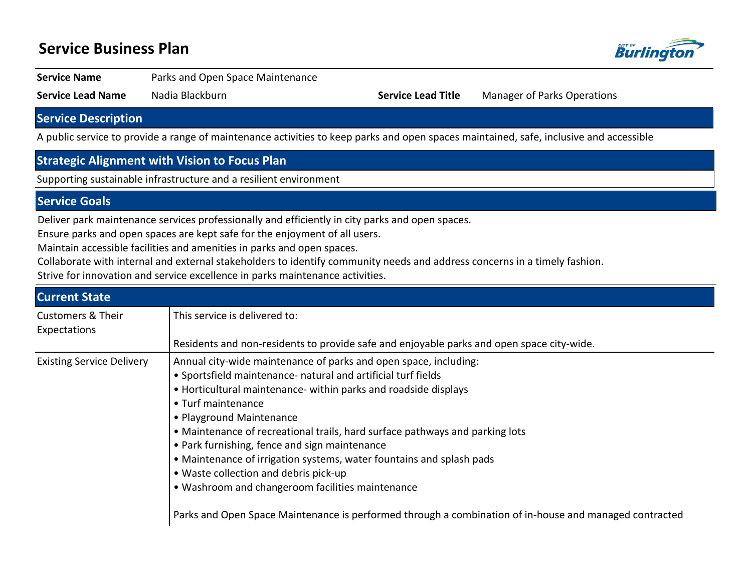# **Service Business Plan**



### **Service Name** Parks and Open Space Maintenance

**Service Lead Name** Nadia Blackburn **Service Lead Title** Manager of Parks Operations

## **Service Description**

A public service to provide a range of maintenance activities to keep parks and open spaces maintained, safe, inclusive and accessible

# **Strategic Alignment with Vision to Focus Plan**

Supporting sustainable infrastructure and a resilient environment

### **Service Goals**

Deliver park maintenance services professionally and efficiently in city parks and open spaces.

Ensure parks and open spaces are kept safe for the enjoyment of all users.

Maintain accessible facilities and amenities in parks and open spaces.

Collaborate with internal and external stakeholders to identify community needs and address concerns in a timely fashion.

Strive for innovation and service excellence in parks maintenance activities.

| <b>Current State</b>                         |                                                                                                                                                                                                                                                                                                                                                                                                                                                                                                                                                                                                                                                                        |
|----------------------------------------------|------------------------------------------------------------------------------------------------------------------------------------------------------------------------------------------------------------------------------------------------------------------------------------------------------------------------------------------------------------------------------------------------------------------------------------------------------------------------------------------------------------------------------------------------------------------------------------------------------------------------------------------------------------------------|
| <b>Customers &amp; Their</b><br>Expectations | This service is delivered to:                                                                                                                                                                                                                                                                                                                                                                                                                                                                                                                                                                                                                                          |
|                                              | Residents and non-residents to provide safe and enjoyable parks and open space city-wide.                                                                                                                                                                                                                                                                                                                                                                                                                                                                                                                                                                              |
| <b>Existing Service Delivery</b>             | Annual city-wide maintenance of parks and open space, including:<br>• Sportsfield maintenance- natural and artificial turf fields<br>• Horticultural maintenance- within parks and roadside displays<br>• Turf maintenance<br>• Playground Maintenance<br>• Maintenance of recreational trails, hard surface pathways and parking lots<br>• Park furnishing, fence and sign maintenance<br>• Maintenance of irrigation systems, water fountains and splash pads<br>• Waste collection and debris pick-up<br>• Washroom and changeroom facilities maintenance<br>Parks and Open Space Maintenance is performed through a combination of in-house and managed contracted |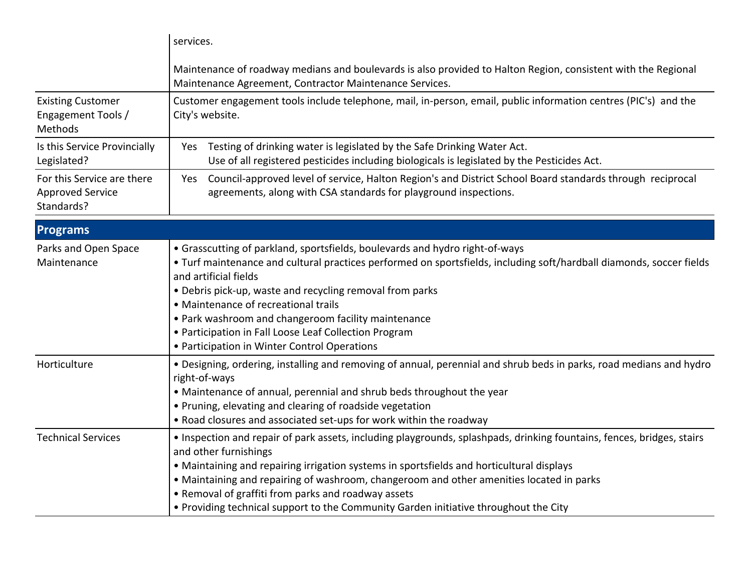|                                                                     | services.                                                                                                                                                                                                                                                                                                                                                                                                                                                                                         |
|---------------------------------------------------------------------|---------------------------------------------------------------------------------------------------------------------------------------------------------------------------------------------------------------------------------------------------------------------------------------------------------------------------------------------------------------------------------------------------------------------------------------------------------------------------------------------------|
|                                                                     | Maintenance of roadway medians and boulevards is also provided to Halton Region, consistent with the Regional<br>Maintenance Agreement, Contractor Maintenance Services.                                                                                                                                                                                                                                                                                                                          |
| <b>Existing Customer</b><br>Engagement Tools /<br>Methods           | Customer engagement tools include telephone, mail, in-person, email, public information centres (PIC's) and the<br>City's website.                                                                                                                                                                                                                                                                                                                                                                |
| Is this Service Provincially<br>Legislated?                         | Testing of drinking water is legislated by the Safe Drinking Water Act.<br>Yes<br>Use of all registered pesticides including biologicals is legislated by the Pesticides Act.                                                                                                                                                                                                                                                                                                                     |
| For this Service are there<br><b>Approved Service</b><br>Standards? | Council-approved level of service, Halton Region's and District School Board standards through reciprocal<br>Yes<br>agreements, along with CSA standards for playground inspections.                                                                                                                                                                                                                                                                                                              |
| <b>Programs</b>                                                     |                                                                                                                                                                                                                                                                                                                                                                                                                                                                                                   |
| Parks and Open Space<br>Maintenance                                 | • Grasscutting of parkland, sportsfields, boulevards and hydro right-of-ways<br>. Turf maintenance and cultural practices performed on sportsfields, including soft/hardball diamonds, soccer fields<br>and artificial fields<br>• Debris pick-up, waste and recycling removal from parks<br>• Maintenance of recreational trails<br>• Park washroom and changeroom facility maintenance<br>• Participation in Fall Loose Leaf Collection Program<br>• Participation in Winter Control Operations |
| Horticulture                                                        | . Designing, ordering, installing and removing of annual, perennial and shrub beds in parks, road medians and hydro<br>right-of-ways<br>• Maintenance of annual, perennial and shrub beds throughout the year<br>• Pruning, elevating and clearing of roadside vegetation<br>• Road closures and associated set-ups for work within the roadway                                                                                                                                                   |
| <b>Technical Services</b>                                           | · Inspection and repair of park assets, including playgrounds, splashpads, drinking fountains, fences, bridges, stairs<br>and other furnishings<br>• Maintaining and repairing irrigation systems in sportsfields and horticultural displays<br>• Maintaining and repairing of washroom, changeroom and other amenities located in parks<br>• Removal of graffiti from parks and roadway assets<br>• Providing technical support to the Community Garden initiative throughout the City           |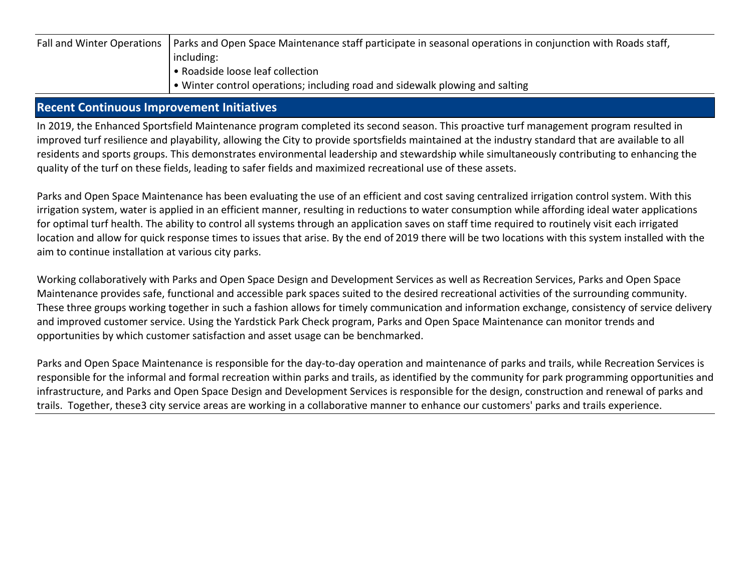| Fall and Winter Operations   Parks and Open Space Maintenance staff participate in seasonal operations in conjunction with Roads staff, |
|-----------------------------------------------------------------------------------------------------------------------------------------|
| including:                                                                                                                              |
| • Roadside loose leaf collection                                                                                                        |
| I • Winter control operations; including road and sidewalk plowing and salting                                                          |

### **Recent Continuous Improvement Initiatives**

In 2019, the Enhanced Sportsfield Maintenance program completed its second season. This proactive turf management program resulted in improved turf resilience and playability, allowing the City to provide sportsfields maintained at the industry standard that are available to all residents and sports groups. This demonstrates environmental leadership and stewardship while simultaneously contributing to enhancing the quality of the turf on these fields, leading to safer fields and maximized recreational use of these assets.

Parks and Open Space Maintenance has been evaluating the use of an efficient and cost saving centralized irrigation control system. With this irrigation system, water is applied in an efficient manner, resulting in reductions to water consumption while affording ideal water applications for optimal turf health. The ability to control all systems through an application saves on staff time required to routinely visit each irrigated location and allow for quick response times to issues that arise. By the end of 2019 there will be two locations with this system installed with the aim to continue installation at various city parks.

Working collaboratively with Parks and Open Space Design and Development Services as well as Recreation Services, Parks and Open Space Maintenance provides safe, functional and accessible park spaces suited to the desired recreational activities of the surrounding community. These three groups working together in such a fashion allows for timely communication and information exchange, consistency of service delivery and improved customer service. Using the Yardstick Park Check program, Parks and Open Space Maintenance can monitor trends and opportunities by which customer satisfaction and asset usage can be benchmarked.

Parks and Open Space Maintenance is responsible for the day-to-day operation and maintenance of parks and trails, while Recreation Services is responsible for the informal and formal recreation within parks and trails, as identified by the community for park programming opportunities and infrastructure, and Parks and Open Space Design and Development Services is responsible for the design, construction and renewal of parks and trails. Together, these3 city service areas are working in a collaborative manner to enhance our customers' parks and trails experience.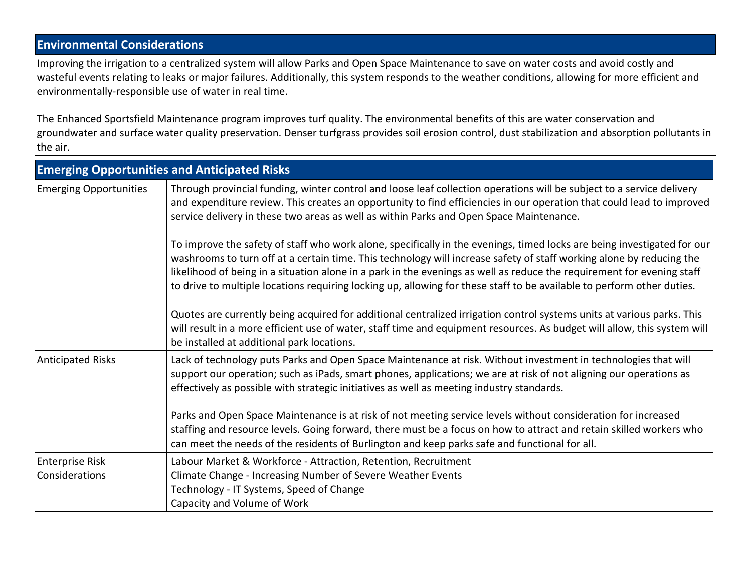# **Environmental Considerations**

Improving the irrigation to a centralized system will allow Parks and Open Space Maintenance to save on water costs and avoid costly and wasteful events relating to leaks or major failures. Additionally, this system responds to the weather conditions, allowing for more efficient and environmentally-responsible use of water in real time.

The Enhanced Sportsfield Maintenance program improves turf quality. The environmental benefits of this are water conservation and groundwater and surface water quality preservation. Denser turfgrass provides soil erosion control, dust stabilization and absorption pollutants in the air.

|                                          | <b>Emerging Opportunities and Anticipated Risks</b>                                                                                                                                                                                                                                                                                                                                                                                                                                                 |  |  |  |  |
|------------------------------------------|-----------------------------------------------------------------------------------------------------------------------------------------------------------------------------------------------------------------------------------------------------------------------------------------------------------------------------------------------------------------------------------------------------------------------------------------------------------------------------------------------------|--|--|--|--|
| <b>Emerging Opportunities</b>            | Through provincial funding, winter control and loose leaf collection operations will be subject to a service delivery<br>and expenditure review. This creates an opportunity to find efficiencies in our operation that could lead to improved<br>service delivery in these two areas as well as within Parks and Open Space Maintenance.                                                                                                                                                           |  |  |  |  |
|                                          | To improve the safety of staff who work alone, specifically in the evenings, timed locks are being investigated for our<br>washrooms to turn off at a certain time. This technology will increase safety of staff working alone by reducing the<br>likelihood of being in a situation alone in a park in the evenings as well as reduce the requirement for evening staff<br>to drive to multiple locations requiring locking up, allowing for these staff to be available to perform other duties. |  |  |  |  |
|                                          | Quotes are currently being acquired for additional centralized irrigation control systems units at various parks. This<br>will result in a more efficient use of water, staff time and equipment resources. As budget will allow, this system will<br>be installed at additional park locations.                                                                                                                                                                                                    |  |  |  |  |
| <b>Anticipated Risks</b>                 | Lack of technology puts Parks and Open Space Maintenance at risk. Without investment in technologies that will<br>support our operation; such as iPads, smart phones, applications; we are at risk of not aligning our operations as<br>effectively as possible with strategic initiatives as well as meeting industry standards.                                                                                                                                                                   |  |  |  |  |
|                                          | Parks and Open Space Maintenance is at risk of not meeting service levels without consideration for increased<br>staffing and resource levels. Going forward, there must be a focus on how to attract and retain skilled workers who<br>can meet the needs of the residents of Burlington and keep parks safe and functional for all.                                                                                                                                                               |  |  |  |  |
| <b>Enterprise Risk</b><br>Considerations | Labour Market & Workforce - Attraction, Retention, Recruitment<br>Climate Change - Increasing Number of Severe Weather Events<br>Technology - IT Systems, Speed of Change<br>Capacity and Volume of Work                                                                                                                                                                                                                                                                                            |  |  |  |  |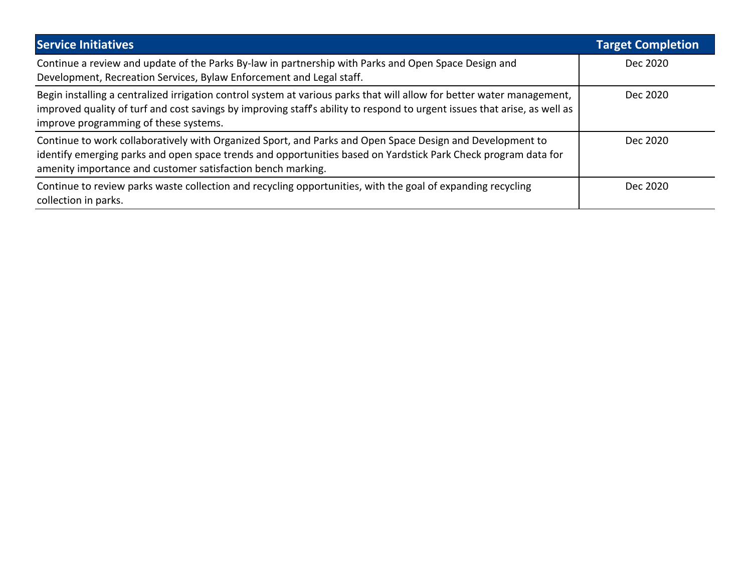| <b>Service Initiatives</b>                                                                                                                                                                                                                                                                   | <b>Target Completion</b> |
|----------------------------------------------------------------------------------------------------------------------------------------------------------------------------------------------------------------------------------------------------------------------------------------------|--------------------------|
| Continue a review and update of the Parks By-law in partnership with Parks and Open Space Design and<br>Development, Recreation Services, Bylaw Enforcement and Legal staff.                                                                                                                 | Dec 2020                 |
| Begin installing a centralized irrigation control system at various parks that will allow for better water management,<br>improved quality of turf and cost savings by improving staff's ability to respond to urgent issues that arise, as well as<br>improve programming of these systems. | Dec 2020                 |
| Continue to work collaboratively with Organized Sport, and Parks and Open Space Design and Development to<br>identify emerging parks and open space trends and opportunities based on Yardstick Park Check program data for<br>amenity importance and customer satisfaction bench marking.   | Dec 2020                 |
| Continue to review parks waste collection and recycling opportunities, with the goal of expanding recycling<br>collection in parks.                                                                                                                                                          | Dec 2020                 |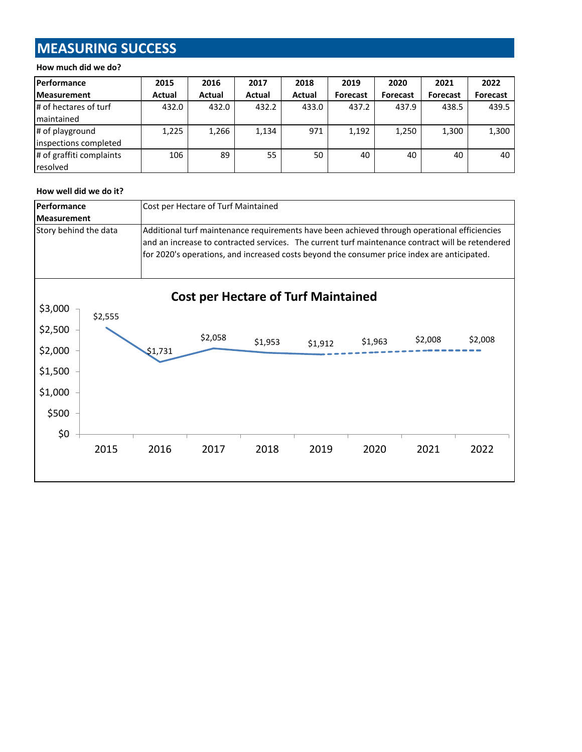# **MEASURING SUCCESS**

#### **How much did we do?**

| <b>Performance</b>       | 2015   | 2016   | 2017   | 2018   | 2019            | 2020            | 2021            | 2022            |
|--------------------------|--------|--------|--------|--------|-----------------|-----------------|-----------------|-----------------|
| <b>Measurement</b>       | Actual | Actual | Actual | Actual | <b>Forecast</b> | <b>Forecast</b> | <b>Forecast</b> | <b>Forecast</b> |
| # of hectares of turf    | 432.0  | 432.0  | 432.2  | 433.0  | 437.2           | 437.9           | 438.5           | 439.5           |
| Imaintained              |        |        |        |        |                 |                 |                 |                 |
| # of playground          | 1,225  | 1,266  | 1,134  | 971    | 1,192           | 1,250           | 1,300           | 1,300           |
| inspections completed    |        |        |        |        |                 |                 |                 |                 |
| # of graffiti complaints | 106    | 89     | 55     | 50     | 40              | 40              | 40              | 40              |
| resolved                 |        |        |        |        |                 |                 |                 |                 |

### **How well did we do it?**

| Performance           |         | Cost per Hectare of Turf Maintained |                                                                                              |                                                                                             |         |         |         |                                                                                                  |  |
|-----------------------|---------|-------------------------------------|----------------------------------------------------------------------------------------------|---------------------------------------------------------------------------------------------|---------|---------|---------|--------------------------------------------------------------------------------------------------|--|
| <b>Measurement</b>    |         |                                     |                                                                                              |                                                                                             |         |         |         |                                                                                                  |  |
| Story behind the data |         |                                     | Additional turf maintenance requirements have been achieved through operational efficiencies |                                                                                             |         |         |         |                                                                                                  |  |
|                       |         |                                     |                                                                                              |                                                                                             |         |         |         | and an increase to contracted services. The current turf maintenance contract will be retendered |  |
|                       |         |                                     |                                                                                              | for 2020's operations, and increased costs beyond the consumer price index are anticipated. |         |         |         |                                                                                                  |  |
|                       |         |                                     |                                                                                              |                                                                                             |         |         |         |                                                                                                  |  |
|                       |         |                                     |                                                                                              |                                                                                             |         |         |         |                                                                                                  |  |
| \$3,000               |         |                                     |                                                                                              | <b>Cost per Hectare of Turf Maintained</b>                                                  |         |         |         |                                                                                                  |  |
|                       | \$2,555 |                                     |                                                                                              |                                                                                             |         |         |         |                                                                                                  |  |
| \$2,500               |         |                                     | \$2,058                                                                                      |                                                                                             |         |         |         |                                                                                                  |  |
| \$2,000               |         | \$1,731                             |                                                                                              | \$1,953                                                                                     | \$1,912 | \$1,963 | \$2,008 | \$2,008                                                                                          |  |
|                       |         |                                     |                                                                                              |                                                                                             |         |         |         |                                                                                                  |  |
| \$1,500               |         |                                     |                                                                                              |                                                                                             |         |         |         |                                                                                                  |  |
| \$1,000               |         |                                     |                                                                                              |                                                                                             |         |         |         |                                                                                                  |  |
| \$500                 |         |                                     |                                                                                              |                                                                                             |         |         |         |                                                                                                  |  |
|                       |         |                                     |                                                                                              |                                                                                             |         |         |         |                                                                                                  |  |
| \$0                   |         |                                     |                                                                                              |                                                                                             |         |         |         |                                                                                                  |  |
|                       | 2015    | 2016                                | 2017                                                                                         | 2018                                                                                        | 2019    | 2020    | 2021    | 2022                                                                                             |  |
|                       |         |                                     |                                                                                              |                                                                                             |         |         |         |                                                                                                  |  |
|                       |         |                                     |                                                                                              |                                                                                             |         |         |         |                                                                                                  |  |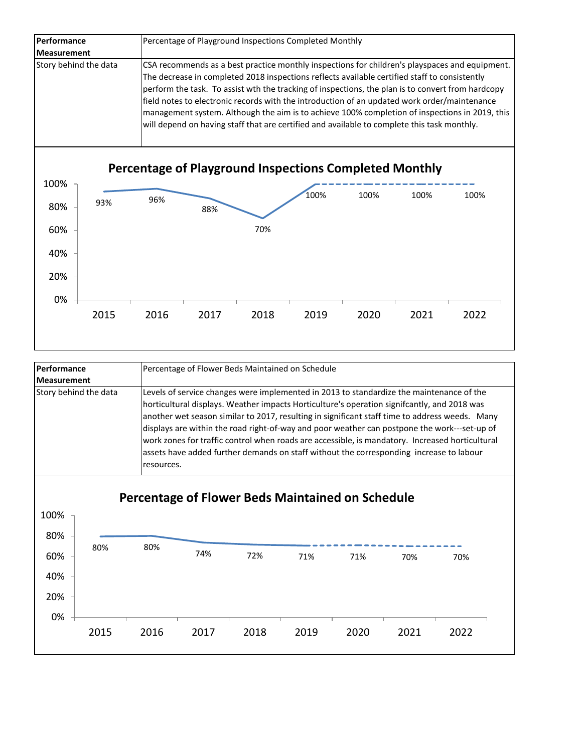| Performance           | Percentage of Playground Inspections Completed Monthly                                                                                                                                                                                                                                                                                                                                                                                                                                                                                                                                                |  |  |  |  |
|-----------------------|-------------------------------------------------------------------------------------------------------------------------------------------------------------------------------------------------------------------------------------------------------------------------------------------------------------------------------------------------------------------------------------------------------------------------------------------------------------------------------------------------------------------------------------------------------------------------------------------------------|--|--|--|--|
| <b>Measurement</b>    |                                                                                                                                                                                                                                                                                                                                                                                                                                                                                                                                                                                                       |  |  |  |  |
| Story behind the data | CSA recommends as a best practice monthly inspections for children's playspaces and equipment.<br>The decrease in completed 2018 inspections reflects available certified staff to consistently<br>perform the task. To assist wth the tracking of inspections, the plan is to convert from hardcopy<br>field notes to electronic records with the introduction of an updated work order/maintenance<br>management system. Although the aim is to achieve 100% completion of inspections in 2019, this<br>will depend on having staff that are certified and available to complete this task monthly. |  |  |  |  |



| Performance           | Percentage of Flower Beds Maintained on Schedule                                                                                                                                                                                                                                                                                                                                                                                                                                                                                                                                                      |  |  |  |  |  |
|-----------------------|-------------------------------------------------------------------------------------------------------------------------------------------------------------------------------------------------------------------------------------------------------------------------------------------------------------------------------------------------------------------------------------------------------------------------------------------------------------------------------------------------------------------------------------------------------------------------------------------------------|--|--|--|--|--|
| <b>Measurement</b>    |                                                                                                                                                                                                                                                                                                                                                                                                                                                                                                                                                                                                       |  |  |  |  |  |
| Story behind the data | Levels of service changes were implemented in 2013 to standardize the maintenance of the<br>horticultural displays. Weather impacts Horticulture's operation signifcantly, and 2018 was<br>another wet season similar to 2017, resulting in significant staff time to address weeds. Many<br>displays are within the road right-of-way and poor weather can postpone the work---set-up of<br>work zones for traffic control when roads are accessible, is mandatory. Increased horticultural<br>assets have added further demands on staff without the corresponding increase to labour<br>resources. |  |  |  |  |  |